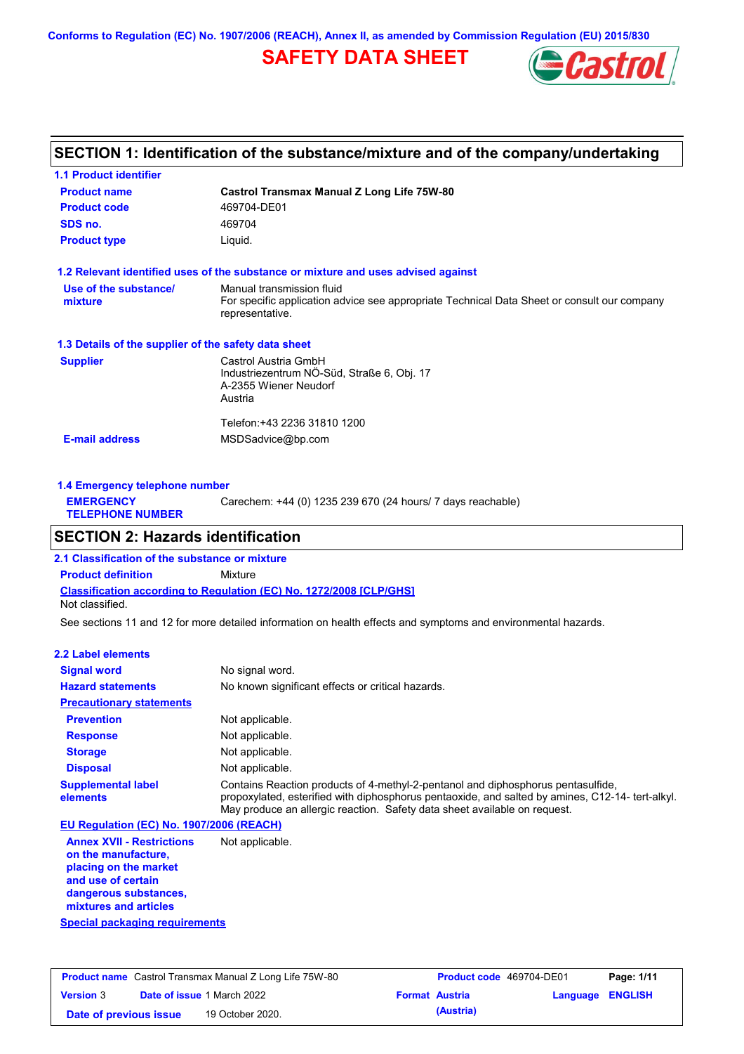**Conforms to Regulation (EC) No. 1907/2006 (REACH), Annex II, as amended by Commission Regulation (EU) 2015/830**

# **SAFETY DATA SHEET**



# **SECTION 1: Identification of the substance/mixture and of the company/undertaking**

| <b>1.1 Product identifier</b>                        |                                                                                                                                             |
|------------------------------------------------------|---------------------------------------------------------------------------------------------------------------------------------------------|
| <b>Product name</b>                                  | Castrol Transmax Manual Z Long Life 75W-80                                                                                                  |
| <b>Product code</b>                                  | 469704-DE01                                                                                                                                 |
| SDS no.                                              | 469704                                                                                                                                      |
| <b>Product type</b>                                  | Liquid.                                                                                                                                     |
|                                                      | 1.2 Relevant identified uses of the substance or mixture and uses advised against                                                           |
| Use of the substance/<br>mixture                     | Manual transmission fluid<br>For specific application advice see appropriate Technical Data Sheet or consult our company<br>representative. |
| 1.3 Details of the supplier of the safety data sheet |                                                                                                                                             |
| <b>Supplier</b>                                      | Castrol Austria GmbH<br>Industriezentrum NÖ-Süd, Straße 6, Obj. 17<br>A-2355 Wiener Neudorf<br>Austria                                      |
| <b>E-mail address</b>                                | Telefon:+43 2236 31810 1200<br>MSDSadvice@bp.com                                                                                            |

| 1.4 Emergency telephone number              |                                                             |
|---------------------------------------------|-------------------------------------------------------------|
| <b>EMERGENCY</b><br><b>TELEPHONE NUMBER</b> | Carechem: +44 (0) 1235 239 670 (24 hours/ 7 days reachable) |
|                                             |                                                             |

# **SECTION 2: Hazards identification**

**Classification according to Regulation (EC) No. 1272/2008 [CLP/GHS] 2.1 Classification of the substance or mixture Product definition** Mixture Not classified.

See sections 11 and 12 for more detailed information on health effects and symptoms and environmental hazards.

#### **2.2 Label elements**

| <b>Signal word</b>                       | No signal word.                                                                                                                                                                                                                                                   |
|------------------------------------------|-------------------------------------------------------------------------------------------------------------------------------------------------------------------------------------------------------------------------------------------------------------------|
| <b>Hazard statements</b>                 | No known significant effects or critical hazards.                                                                                                                                                                                                                 |
| <b>Precautionary statements</b>          |                                                                                                                                                                                                                                                                   |
| <b>Prevention</b>                        | Not applicable.                                                                                                                                                                                                                                                   |
| <b>Response</b>                          | Not applicable.                                                                                                                                                                                                                                                   |
| <b>Storage</b>                           | Not applicable.                                                                                                                                                                                                                                                   |
| <b>Disposal</b>                          | Not applicable.                                                                                                                                                                                                                                                   |
| <b>Supplemental label</b><br>elements    | Contains Reaction products of 4-methyl-2-pentanol and diphosphorus pentasulfide,<br>propoxylated, esterified with diphosphorus pentaoxide, and salted by amines, C12-14- tert-alkyl.<br>May produce an allergic reaction. Safety data sheet available on request. |
| EU Regulation (EC) No. 1907/2006 (REACH) |                                                                                                                                                                                                                                                                   |

**Annex XVII - Restrictions on the manufacture, placing on the market and use of certain dangerous substances, mixtures and articles** Not applicable.

**Special packaging requirements**

|                        | <b>Product name</b> Castrol Transmax Manual Z Long Life 75W-80 | <b>Product code</b> 469704-DE01 |                         | Page: 1/11 |
|------------------------|----------------------------------------------------------------|---------------------------------|-------------------------|------------|
| <b>Version 3</b>       | <b>Date of issue 1 March 2022</b>                              | <b>Format Austria</b>           | <b>Language ENGLISH</b> |            |
| Date of previous issue | 19 October 2020.                                               | (Austria)                       |                         |            |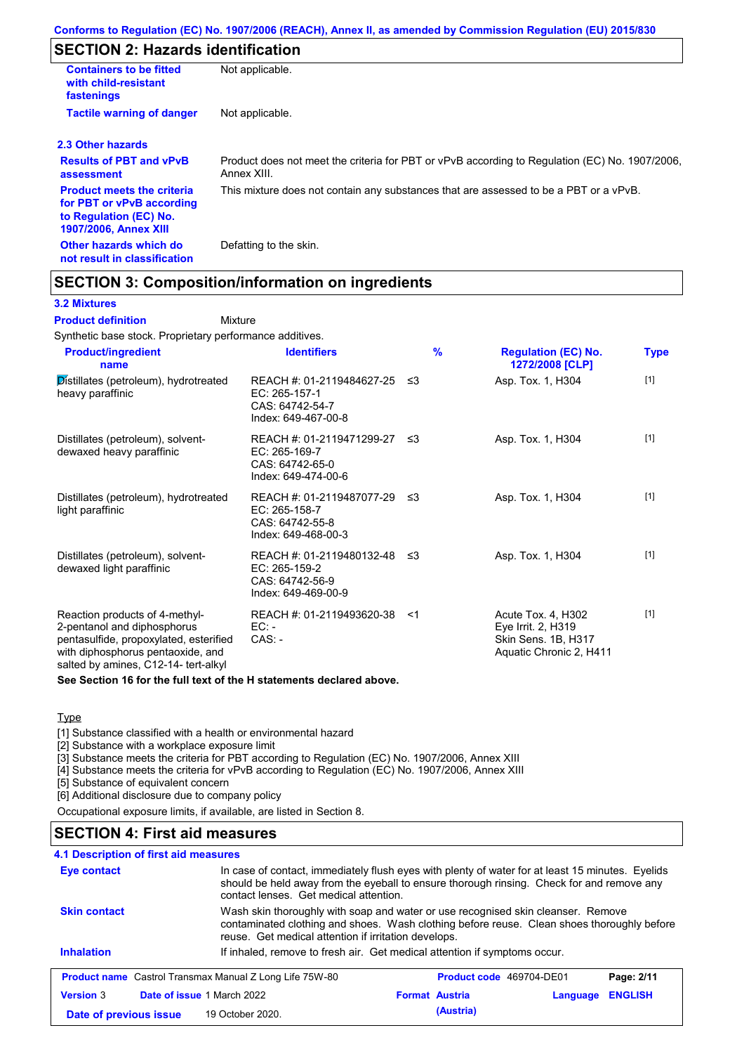# **SECTION 2: Hazards identification**

| <b>Containers to be fitted</b><br>with child-resistant<br>fastenings                                                     | Not applicable.                                                                                               |
|--------------------------------------------------------------------------------------------------------------------------|---------------------------------------------------------------------------------------------------------------|
| <b>Tactile warning of danger</b>                                                                                         | Not applicable.                                                                                               |
| 2.3 Other hazards                                                                                                        |                                                                                                               |
| <b>Results of PBT and vPvB</b><br>assessment                                                                             | Product does not meet the criteria for PBT or vPvB according to Regulation (EC) No. 1907/2006,<br>Annex XIII. |
| <b>Product meets the criteria</b><br>for PBT or vPvB according<br>to Regulation (EC) No.<br><b>1907/2006, Annex XIII</b> | This mixture does not contain any substances that are assessed to be a PBT or a vPvB.                         |
| Other hazards which do<br>not result in classification                                                                   | Defatting to the skin.                                                                                        |

## **SECTION 3: Composition/information on ingredients**

Mixture

#### **3.2 Mixtures**

**Product definition**

Synthetic base stock. Proprietary performance additives.

| <b>Product/ingredient</b><br>name                                                                                                                                                    | <b>Identifiers</b>                                                                      | $\frac{9}{6}$ | <b>Regulation (EC) No.</b><br>1272/2008 [CLP]                                              | <b>Type</b> |
|--------------------------------------------------------------------------------------------------------------------------------------------------------------------------------------|-----------------------------------------------------------------------------------------|---------------|--------------------------------------------------------------------------------------------|-------------|
| Distillates (petroleum), hydrotreated<br>heavy paraffinic                                                                                                                            | REACH #: 01-2119484627-25<br>EC: 265-157-1<br>CAS: 64742-54-7<br>Index: 649-467-00-8    | -≤3           | Asp. Tox. 1, H304                                                                          | $[1]$       |
| Distillates (petroleum), solvent-<br>dewaxed heavy paraffinic                                                                                                                        | REACH #: 01-2119471299-27<br>EC: 265-169-7<br>CAS: 64742-65-0<br>Index: 649-474-00-6    | -≤3           | Asp. Tox. 1, H304                                                                          | $[1]$       |
| Distillates (petroleum), hydrotreated<br>light paraffinic                                                                                                                            | REACH #: 01-2119487077-29 ≤3<br>EC: 265-158-7<br>CAS: 64742-55-8<br>Index: 649-468-00-3 |               | Asp. Tox. 1, H304                                                                          | $[1]$       |
| Distillates (petroleum), solvent-<br>dewaxed light paraffinic                                                                                                                        | REACH #: 01-2119480132-48 ≤3<br>EC: 265-159-2<br>CAS: 64742-56-9<br>Index: 649-469-00-9 |               | Asp. Tox. 1, H304                                                                          | $[1]$       |
| Reaction products of 4-methyl-<br>2-pentanol and diphosphorus<br>pentasulfide, propoxylated, esterified<br>with diphosphorus pentaoxide, and<br>salted by amines, C12-14- tert-alkyl | REACH #: 01-2119493620-38<br>$EC: -$<br>$CAS: -$                                        | $<$ 1         | Acute Tox. 4, H302<br>Eye Irrit. 2, H319<br>Skin Sens. 1B, H317<br>Aquatic Chronic 2, H411 | $[1]$       |

**See Section 16 for the full text of the H statements declared above.**

### **Type**

[1] Substance classified with a health or environmental hazard

[2] Substance with a workplace exposure limit

[3] Substance meets the criteria for PBT according to Regulation (EC) No. 1907/2006, Annex XIII

[4] Substance meets the criteria for vPvB according to Regulation (EC) No. 1907/2006, Annex XIII

[5] Substance of equivalent concern

[6] Additional disclosure due to company policy

Occupational exposure limits, if available, are listed in Section 8.

## **SECTION 4: First aid measures**

| <b>4.1 Description of first aid measures</b> |                                                                                                                                                                                                                                         |                          |          |                |
|----------------------------------------------|-----------------------------------------------------------------------------------------------------------------------------------------------------------------------------------------------------------------------------------------|--------------------------|----------|----------------|
| Eye contact                                  | In case of contact, immediately flush eyes with plenty of water for at least 15 minutes. Eyelids<br>should be held away from the eyeball to ensure thorough rinsing. Check for and remove any<br>contact lenses. Get medical attention. |                          |          |                |
| <b>Skin contact</b>                          | Wash skin thoroughly with soap and water or use recognised skin cleanser. Remove<br>contaminated clothing and shoes. Wash clothing before reuse. Clean shoes thoroughly before<br>reuse. Get medical attention if irritation develops.  |                          |          |                |
| <b>Inhalation</b>                            | If inhaled, remove to fresh air. Get medical attention if symptoms occur.                                                                                                                                                               |                          |          |                |
|                                              | <b>Product name</b> Castrol Transmax Manual Z Long Life 75W-80                                                                                                                                                                          | Product code 469704-DE01 |          | Page: 2/11     |
| <b>Version 3</b>                             | Date of issue 1 March 2022                                                                                                                                                                                                              | <b>Format Austria</b>    | Language | <b>ENGLISH</b> |
| Date of previous issue                       | 19 October 2020.                                                                                                                                                                                                                        | (Austria)                |          |                |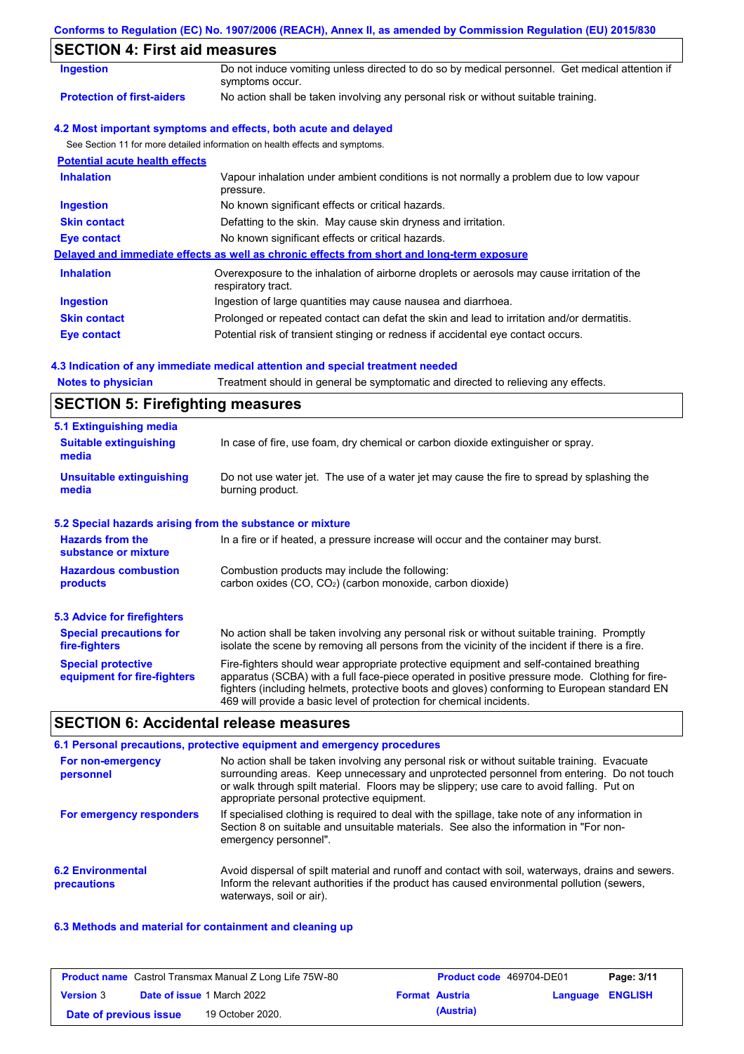|  |  | Conforms to Regulation (EC) No. 1907/2006 (REACH), Annex II, as amended by Commission Regulation (EU) 2015/830 |  |
|--|--|----------------------------------------------------------------------------------------------------------------|--|
|  |  |                                                                                                                |  |

# **SECTION 4: First aid measures**

| SECTION 4: First aid measures         |                                                                                                                   |
|---------------------------------------|-------------------------------------------------------------------------------------------------------------------|
| <b>Ingestion</b>                      | Do not induce vomiting unless directed to do so by medical personnel. Get medical attention if<br>symptoms occur. |
| <b>Protection of first-aiders</b>     | No action shall be taken involving any personal risk or without suitable training.                                |
|                                       | 4.2 Most important symptoms and effects, both acute and delayed                                                   |
|                                       | See Section 11 for more detailed information on health effects and symptoms.                                      |
| <b>Potential acute health effects</b> |                                                                                                                   |
| <b>Inhalation</b>                     | Vapour inhalation under ambient conditions is not normally a problem due to low vapour<br>pressure.               |
| <b>Ingestion</b>                      | No known significant effects or critical hazards.                                                                 |
| <b>Skin contact</b>                   | Defatting to the skin. May cause skin dryness and irritation.                                                     |
| Eye contact                           | No known significant effects or critical hazards.                                                                 |
|                                       | Delayed and immediate effects as well as chronic effects from short and long-term exposure                        |
| <b>Inhalation</b>                     | Overexposure to the inhalation of airborne droplets or aerosols may cause irritation of the<br>respiratory tract. |
| Ingestion                             | Ingestion of large quantities may cause nausea and diarrhoea.                                                     |
| <b>Skin contact</b>                   | Prolonged or repeated contact can defat the skin and lead to irritation and/or dermatitis.                        |
| Eye contact                           | Potential risk of transient stinging or redness if accidental eye contact occurs.                                 |

## **4.3 Indication of any immediate medical attention and special treatment needed**

| <b>Notes to physician</b> | Treatment should in general be symptomatic and directed to relieving any effects. |  |
|---------------------------|-----------------------------------------------------------------------------------|--|
|                           |                                                                                   |  |

# **SECTION 5: Firefighting measures**

| 5.1 Extinguishing media                                                                                                                                                    |                                                                                                                                                                                                                                                                                                                                                                   |  |  |
|----------------------------------------------------------------------------------------------------------------------------------------------------------------------------|-------------------------------------------------------------------------------------------------------------------------------------------------------------------------------------------------------------------------------------------------------------------------------------------------------------------------------------------------------------------|--|--|
| <b>Suitable extinguishing</b><br>media                                                                                                                                     | In case of fire, use foam, dry chemical or carbon dioxide extinguisher or spray.                                                                                                                                                                                                                                                                                  |  |  |
| Do not use water jet. The use of a water jet may cause the fire to spread by splashing the<br><b>Unsuitable extinguishing</b><br>burning product.<br>media                 |                                                                                                                                                                                                                                                                                                                                                                   |  |  |
| 5.2 Special hazards arising from the substance or mixture                                                                                                                  |                                                                                                                                                                                                                                                                                                                                                                   |  |  |
| <b>Hazards from the</b><br>substance or mixture                                                                                                                            | In a fire or if heated, a pressure increase will occur and the container may burst.                                                                                                                                                                                                                                                                               |  |  |
| Combustion products may include the following:<br><b>Hazardous combustion</b><br>carbon oxides (CO, CO <sub>2</sub> ) (carbon monoxide, carbon dioxide)<br><b>products</b> |                                                                                                                                                                                                                                                                                                                                                                   |  |  |
| 5.3 Advice for firefighters                                                                                                                                                |                                                                                                                                                                                                                                                                                                                                                                   |  |  |
| <b>Special precautions for</b><br>fire-fighters                                                                                                                            | No action shall be taken involving any personal risk or without suitable training. Promptly<br>isolate the scene by removing all persons from the vicinity of the incident if there is a fire.                                                                                                                                                                    |  |  |
| <b>Special protective</b><br>equipment for fire-fighters                                                                                                                   | Fire-fighters should wear appropriate protective equipment and self-contained breathing<br>apparatus (SCBA) with a full face-piece operated in positive pressure mode. Clothing for fire-<br>fighters (including helmets, protective boots and gloves) conforming to European standard EN<br>469 will provide a basic level of protection for chemical incidents. |  |  |

# **SECTION 6: Accidental release measures**

|                                         | 6.1 Personal precautions, protective equipment and emergency procedures                                                                                                                                                                                                                                                             |
|-----------------------------------------|-------------------------------------------------------------------------------------------------------------------------------------------------------------------------------------------------------------------------------------------------------------------------------------------------------------------------------------|
| For non-emergency<br>personnel          | No action shall be taken involving any personal risk or without suitable training. Evacuate<br>surrounding areas. Keep unnecessary and unprotected personnel from entering. Do not touch<br>or walk through spilt material. Floors may be slippery; use care to avoid falling. Put on<br>appropriate personal protective equipment. |
| For emergency responders                | If specialised clothing is required to deal with the spillage, take note of any information in<br>Section 8 on suitable and unsuitable materials. See also the information in "For non-<br>emergency personnel".                                                                                                                    |
| <b>6.2 Environmental</b><br>precautions | Avoid dispersal of spilt material and runoff and contact with soil, waterways, drains and sewers.<br>Inform the relevant authorities if the product has caused environmental pollution (sewers,<br>waterways, soil or air).                                                                                                         |

## **6.3 Methods and material for containment and cleaning up**

| <b>Product name</b> Castrol Transmax Manual Z Long Life 75W-80 |  | <b>Product code</b> 469704-DE01   |                       | Page: 3/11              |  |
|----------------------------------------------------------------|--|-----------------------------------|-----------------------|-------------------------|--|
| <b>Version 3</b>                                               |  | <b>Date of issue 1 March 2022</b> | <b>Format Austria</b> | <b>Language ENGLISH</b> |  |
| Date of previous issue                                         |  | 19 October 2020.                  | (Austria)             |                         |  |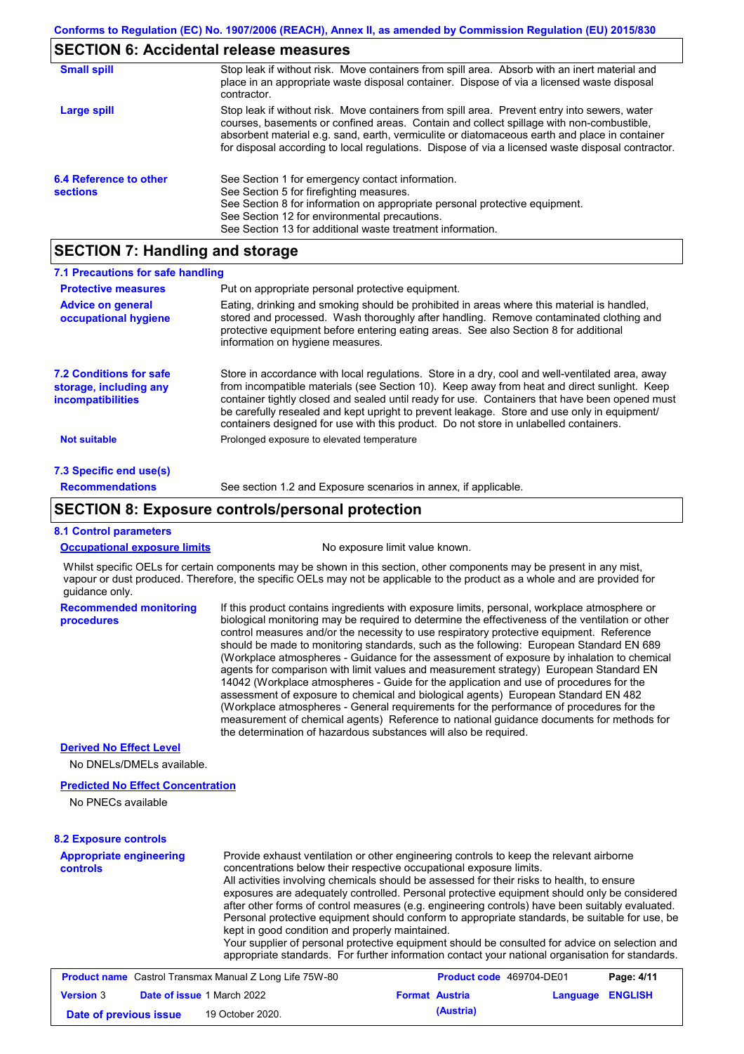## **SECTION 6: Accidental release measures**

| <b>Small spill</b>                        | Stop leak if without risk. Move containers from spill area. Absorb with an inert material and<br>place in an appropriate waste disposal container. Dispose of via a licensed waste disposal<br>contractor.                                                                                                                                                                                     |
|-------------------------------------------|------------------------------------------------------------------------------------------------------------------------------------------------------------------------------------------------------------------------------------------------------------------------------------------------------------------------------------------------------------------------------------------------|
| Large spill                               | Stop leak if without risk. Move containers from spill area. Prevent entry into sewers, water<br>courses, basements or confined areas. Contain and collect spillage with non-combustible,<br>absorbent material e.g. sand, earth, vermiculite or diatomaceous earth and place in container<br>for disposal according to local regulations. Dispose of via a licensed waste disposal contractor. |
| 6.4 Reference to other<br><b>sections</b> | See Section 1 for emergency contact information.<br>See Section 5 for firefighting measures.<br>See Section 8 for information on appropriate personal protective equipment.<br>See Section 12 for environmental precautions.<br>See Section 13 for additional waste treatment information.                                                                                                     |

## **SECTION 7: Handling and storage**

| 7.1 Precautions for safe handling                                                    |                                                                                                                                                                                                                                                                                                                                                                                                                                                                                          |
|--------------------------------------------------------------------------------------|------------------------------------------------------------------------------------------------------------------------------------------------------------------------------------------------------------------------------------------------------------------------------------------------------------------------------------------------------------------------------------------------------------------------------------------------------------------------------------------|
| <b>Protective measures</b>                                                           | Put on appropriate personal protective equipment.                                                                                                                                                                                                                                                                                                                                                                                                                                        |
| <b>Advice on general</b><br>occupational hygiene                                     | Eating, drinking and smoking should be prohibited in areas where this material is handled.<br>stored and processed. Wash thoroughly after handling. Remove contaminated clothing and<br>protective equipment before entering eating areas. See also Section 8 for additional<br>information on hygiene measures.                                                                                                                                                                         |
| <b>7.2 Conditions for safe</b><br>storage, including any<br><i>incompatibilities</i> | Store in accordance with local regulations. Store in a dry, cool and well-ventilated area, away<br>from incompatible materials (see Section 10). Keep away from heat and direct sunlight. Keep<br>container tightly closed and sealed until ready for use. Containers that have been opened must<br>be carefully resealed and kept upright to prevent leakage. Store and use only in equipment/<br>containers designed for use with this product. Do not store in unlabelled containers. |
| <b>Not suitable</b>                                                                  | Prolonged exposure to elevated temperature                                                                                                                                                                                                                                                                                                                                                                                                                                               |
| 7.3 Specific end use(s)                                                              |                                                                                                                                                                                                                                                                                                                                                                                                                                                                                          |
| <b>Recommendations</b>                                                               | See section 1.2 and Exposure scenarios in annex, if applicable.                                                                                                                                                                                                                                                                                                                                                                                                                          |

## **SECTION 8: Exposure controls/personal protection**

#### **8.1 Control parameters**

**procedures**

|--|

No exposure limit value known.

Whilst specific OELs for certain components may be shown in this section, other components may be present in any mist, vapour or dust produced. Therefore, the specific OELs may not be applicable to the product as a whole and are provided for guidance only.

**Recommended monitoring**  If this product contains ingredients with exposure limits, personal, workplace atmosphere or biological monitoring may be required to determine the effectiveness of the ventilation or other control measures and/or the necessity to use respiratory protective equipment. Reference should be made to monitoring standards, such as the following: European Standard EN 689 (Workplace atmospheres - Guidance for the assessment of exposure by inhalation to chemical agents for comparison with limit values and measurement strategy) European Standard EN 14042 (Workplace atmospheres - Guide for the application and use of procedures for the assessment of exposure to chemical and biological agents) European Standard EN 482 (Workplace atmospheres - General requirements for the performance of procedures for the measurement of chemical agents) Reference to national guidance documents for methods for the determination of hazardous substances will also be required.

#### **Derived No Effect Level**

No DNELs/DMELs available.

#### **Predicted No Effect Concentration**

No PNECs available

#### **8.2 Exposure controls**

| exposures are adequately controlled. Personal protective equipment should only be considered<br>after other forms of control measures (e.g. engineering controls) have been suitably evaluated.<br>Personal protective equipment should conform to appropriate standards, be suitable for use, be<br>kept in good condition and properly maintained.<br>Your supplier of personal protective equipment should be consulted for advice on selection and<br>appropriate standards. For further information contact your national organisation for standards. | <b>Appropriate engineering</b><br><b>controls</b> | Provide exhaust ventilation or other engineering controls to keep the relevant airborne<br>concentrations below their respective occupational exposure limits.<br>All activities involving chemicals should be assessed for their risks to health, to ensure |
|------------------------------------------------------------------------------------------------------------------------------------------------------------------------------------------------------------------------------------------------------------------------------------------------------------------------------------------------------------------------------------------------------------------------------------------------------------------------------------------------------------------------------------------------------------|---------------------------------------------------|--------------------------------------------------------------------------------------------------------------------------------------------------------------------------------------------------------------------------------------------------------------|
|------------------------------------------------------------------------------------------------------------------------------------------------------------------------------------------------------------------------------------------------------------------------------------------------------------------------------------------------------------------------------------------------------------------------------------------------------------------------------------------------------------------------------------------------------------|---------------------------------------------------|--------------------------------------------------------------------------------------------------------------------------------------------------------------------------------------------------------------------------------------------------------------|

| <b>Product name</b> Castrol Transmax Manual Z Long Life 75W-80 |  | <b>Product code</b> 469704-DE01   |                       | Page: 4/11              |  |
|----------------------------------------------------------------|--|-----------------------------------|-----------------------|-------------------------|--|
| <b>Version 3</b>                                               |  | <b>Date of issue 1 March 2022</b> | <b>Format Austria</b> | <b>Language ENGLISH</b> |  |
| Date of previous issue                                         |  | 19 October 2020.                  | (Austria)             |                         |  |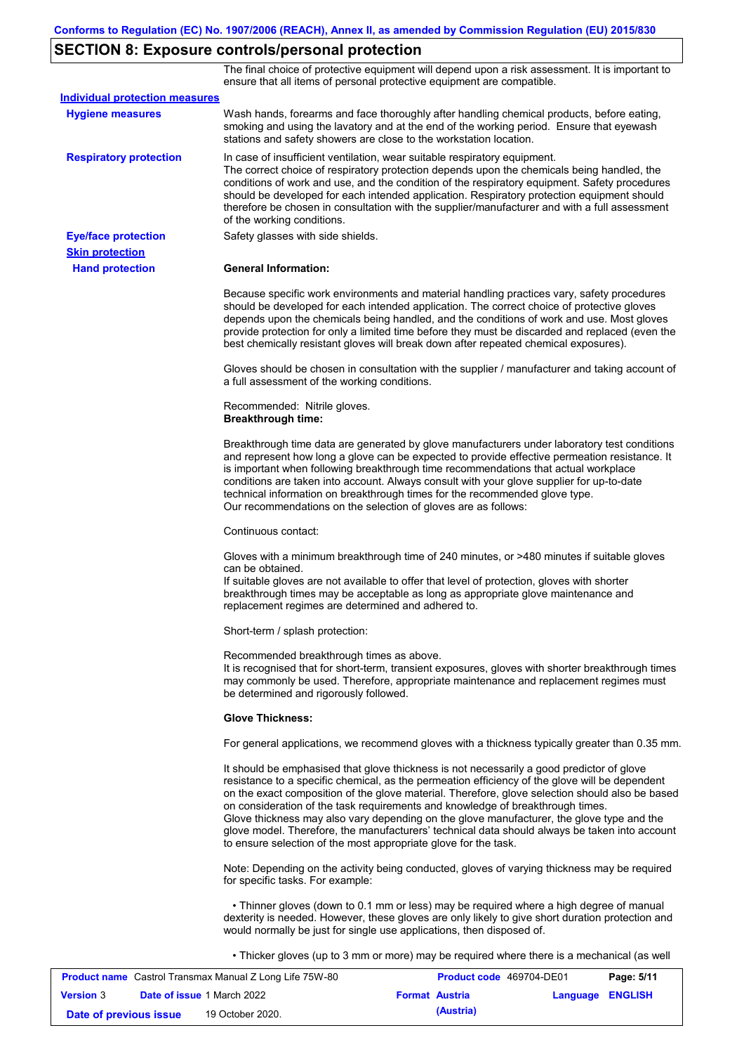# **SECTION 8: Exposure controls/personal protection**

The final choice of protective equipment will depend upon a risk assessment. It is important to ensure that all items of personal protective equipment are compatible.

| <b>Individual protection measures</b> |                                                                                                                                                                                                                                                                                                                                                                                                                                                                                                                                                                                                                                                   |
|---------------------------------------|---------------------------------------------------------------------------------------------------------------------------------------------------------------------------------------------------------------------------------------------------------------------------------------------------------------------------------------------------------------------------------------------------------------------------------------------------------------------------------------------------------------------------------------------------------------------------------------------------------------------------------------------------|
| <b>Hygiene measures</b>               | Wash hands, forearms and face thoroughly after handling chemical products, before eating,<br>smoking and using the lavatory and at the end of the working period. Ensure that eyewash<br>stations and safety showers are close to the workstation location.                                                                                                                                                                                                                                                                                                                                                                                       |
| <b>Respiratory protection</b>         | In case of insufficient ventilation, wear suitable respiratory equipment.<br>The correct choice of respiratory protection depends upon the chemicals being handled, the<br>conditions of work and use, and the condition of the respiratory equipment. Safety procedures<br>should be developed for each intended application. Respiratory protection equipment should<br>therefore be chosen in consultation with the supplier/manufacturer and with a full assessment<br>of the working conditions.                                                                                                                                             |
| <b>Eye/face protection</b>            | Safety glasses with side shields.                                                                                                                                                                                                                                                                                                                                                                                                                                                                                                                                                                                                                 |
| <b>Skin protection</b>                |                                                                                                                                                                                                                                                                                                                                                                                                                                                                                                                                                                                                                                                   |
| <b>Hand protection</b>                | <b>General Information:</b>                                                                                                                                                                                                                                                                                                                                                                                                                                                                                                                                                                                                                       |
|                                       | Because specific work environments and material handling practices vary, safety procedures<br>should be developed for each intended application. The correct choice of protective gloves<br>depends upon the chemicals being handled, and the conditions of work and use. Most gloves<br>provide protection for only a limited time before they must be discarded and replaced (even the<br>best chemically resistant gloves will break down after repeated chemical exposures).                                                                                                                                                                  |
|                                       | Gloves should be chosen in consultation with the supplier / manufacturer and taking account of<br>a full assessment of the working conditions.                                                                                                                                                                                                                                                                                                                                                                                                                                                                                                    |
|                                       | Recommended: Nitrile gloves.<br><b>Breakthrough time:</b>                                                                                                                                                                                                                                                                                                                                                                                                                                                                                                                                                                                         |
|                                       | Breakthrough time data are generated by glove manufacturers under laboratory test conditions<br>and represent how long a glove can be expected to provide effective permeation resistance. It<br>is important when following breakthrough time recommendations that actual workplace<br>conditions are taken into account. Always consult with your glove supplier for up-to-date<br>technical information on breakthrough times for the recommended glove type.<br>Our recommendations on the selection of gloves are as follows:                                                                                                                |
|                                       | Continuous contact:                                                                                                                                                                                                                                                                                                                                                                                                                                                                                                                                                                                                                               |
|                                       | Gloves with a minimum breakthrough time of 240 minutes, or >480 minutes if suitable gloves<br>can be obtained.<br>If suitable gloves are not available to offer that level of protection, gloves with shorter<br>breakthrough times may be acceptable as long as appropriate glove maintenance and<br>replacement regimes are determined and adhered to.                                                                                                                                                                                                                                                                                          |
|                                       | Short-term / splash protection:                                                                                                                                                                                                                                                                                                                                                                                                                                                                                                                                                                                                                   |
|                                       | Recommended breakthrough times as above.<br>It is recognised that for short-term, transient exposures, gloves with shorter breakthrough times<br>may commonly be used. Therefore, appropriate maintenance and replacement regimes must<br>be determined and rigorously followed.                                                                                                                                                                                                                                                                                                                                                                  |
|                                       | <b>Glove Thickness:</b>                                                                                                                                                                                                                                                                                                                                                                                                                                                                                                                                                                                                                           |
|                                       | For general applications, we recommend gloves with a thickness typically greater than 0.35 mm.                                                                                                                                                                                                                                                                                                                                                                                                                                                                                                                                                    |
|                                       | It should be emphasised that glove thickness is not necessarily a good predictor of glove<br>resistance to a specific chemical, as the permeation efficiency of the glove will be dependent<br>on the exact composition of the glove material. Therefore, glove selection should also be based<br>on consideration of the task requirements and knowledge of breakthrough times.<br>Glove thickness may also vary depending on the glove manufacturer, the glove type and the<br>glove model. Therefore, the manufacturers' technical data should always be taken into account<br>to ensure selection of the most appropriate glove for the task. |
|                                       | Note: Depending on the activity being conducted, gloves of varying thickness may be required<br>for specific tasks. For example:                                                                                                                                                                                                                                                                                                                                                                                                                                                                                                                  |
|                                       | • Thinner gloves (down to 0.1 mm or less) may be required where a high degree of manual<br>dexterity is needed. However, these gloves are only likely to give short duration protection and<br>would normally be just for single use applications, then disposed of.                                                                                                                                                                                                                                                                                                                                                                              |
|                                       | • Thicker gloves (up to 3 mm or more) may be required where there is a mechanical (as well                                                                                                                                                                                                                                                                                                                                                                                                                                                                                                                                                        |

| <b>Product name</b> Castrol Transmax Manual Z Long Life 75W-80 |  | <b>Product code</b> 469704-DE01   |                       | Page: 5/11              |  |
|----------------------------------------------------------------|--|-----------------------------------|-----------------------|-------------------------|--|
| <b>Version 3</b>                                               |  | <b>Date of issue 1 March 2022</b> | <b>Format Austria</b> | <b>Language ENGLISH</b> |  |
| Date of previous issue                                         |  | 19 October 2020.                  | (Austria)             |                         |  |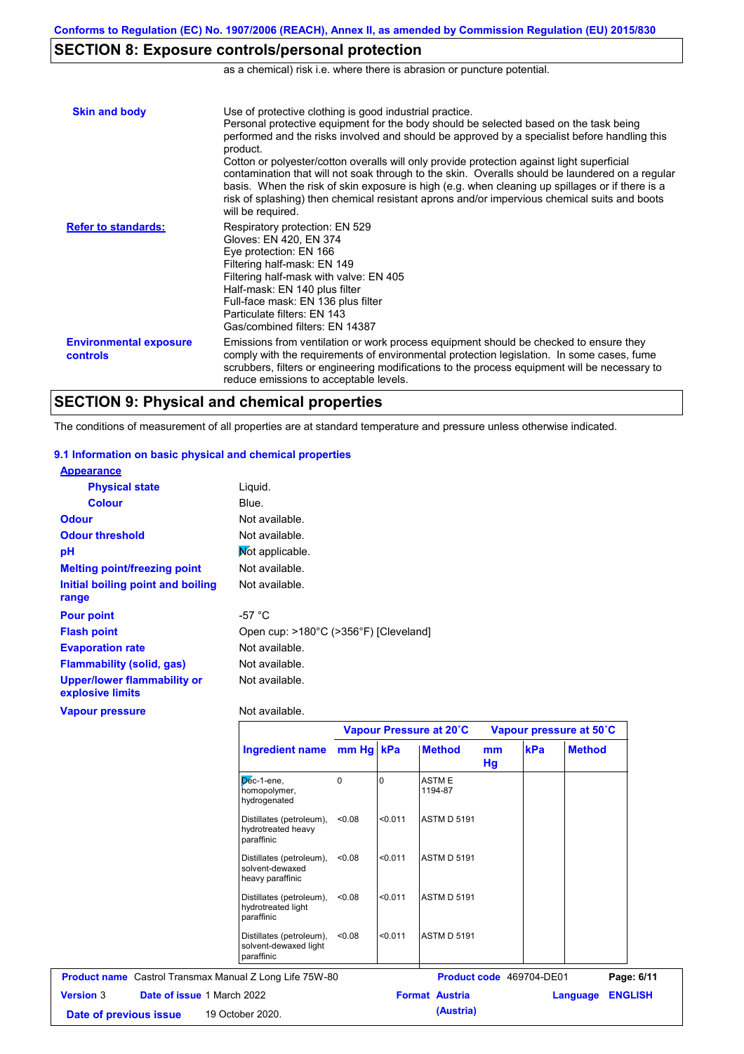# **SECTION 8: Exposure controls/personal protection**

as a chemical) risk i.e. where there is abrasion or puncture potential.

| <b>Skin and body</b>                             | Use of protective clothing is good industrial practice.<br>Personal protective equipment for the body should be selected based on the task being<br>performed and the risks involved and should be approved by a specialist before handling this<br>product.<br>Cotton or polyester/cotton overalls will only provide protection against light superficial<br>contamination that will not soak through to the skin. Overalls should be laundered on a regular<br>basis. When the risk of skin exposure is high (e.g. when cleaning up spillages or if there is a<br>risk of splashing) then chemical resistant aprons and/or impervious chemical suits and boots<br>will be required. |
|--------------------------------------------------|---------------------------------------------------------------------------------------------------------------------------------------------------------------------------------------------------------------------------------------------------------------------------------------------------------------------------------------------------------------------------------------------------------------------------------------------------------------------------------------------------------------------------------------------------------------------------------------------------------------------------------------------------------------------------------------|
| <b>Refer to standards:</b>                       | Respiratory protection: EN 529<br>Gloves: EN 420, EN 374<br>Eye protection: EN 166<br>Filtering half-mask: EN 149<br>Filtering half-mask with valve: EN 405<br>Half-mask: EN 140 plus filter<br>Full-face mask: EN 136 plus filter<br>Particulate filters: FN 143<br>Gas/combined filters: EN 14387                                                                                                                                                                                                                                                                                                                                                                                   |
| <b>Environmental exposure</b><br><b>controls</b> | Emissions from ventilation or work process equipment should be checked to ensure they<br>comply with the requirements of environmental protection legislation. In some cases, fume<br>scrubbers, filters or engineering modifications to the process equipment will be necessary to<br>reduce emissions to acceptable levels.                                                                                                                                                                                                                                                                                                                                                         |

## **SECTION 9: Physical and chemical properties**

The conditions of measurement of all properties are at standard temperature and pressure unless otherwise indicated.

#### **9.1 Information on basic physical and chemical properties**

| <b>Appearance</b>                                      |                                       |
|--------------------------------------------------------|---------------------------------------|
| <b>Physical state</b>                                  | Liguid.                               |
| <b>Colour</b>                                          | Blue.                                 |
| <b>Odour</b>                                           | Not available.                        |
| <b>Odour threshold</b>                                 | Not available.                        |
| рH                                                     | Mot applicable.                       |
| <b>Melting point/freezing point</b>                    | Not available.                        |
| Initial boiling point and boiling                      | Not available.                        |
| range                                                  |                                       |
| <b>Pour point</b>                                      | -57 $^{\circ}$ C                      |
| <b>Flash point</b>                                     | Open cup: >180°C (>356°F) [Cleveland] |
| <b>Evaporation rate</b>                                | Not available.                        |
| <b>Flammability (solid, gas)</b>                       | Not available.                        |
| <b>Upper/lower flammability or</b><br>explosive limits | Not available.                        |
| <b>Vapour pressure</b>                                 | Not available.                        |

|                                                                 |           | Vapour Pressure at 20°C |                          |          | Vapour pressure at 50°C |                            |
|-----------------------------------------------------------------|-----------|-------------------------|--------------------------|----------|-------------------------|----------------------------|
| <b>Ingredient name</b>                                          | mm Hg kPa |                         | <b>Method</b>            | mm<br>Hg | kPa                     | <b>Method</b>              |
| $D6c-1$ -ene,<br>homopolymer,<br>hydrogenated                   | $\Omega$  |                         | <b>ASTME</b><br>1194-87  |          |                         |                            |
| Distillates (petroleum),<br>hydrotreated heavy<br>paraffinic    | < 0.08    | < 0.011                 | <b>ASTM D 5191</b>       |          |                         |                            |
| Distillates (petroleum),<br>solvent-dewaxed<br>heavy paraffinic | < 0.08    | < 0.011                 | <b>ASTM D 5191</b>       |          |                         |                            |
| Distillates (petroleum),<br>hydrotreated light<br>paraffinic    | < 0.08    | < 0.011                 | <b>ASTM D 5191</b>       |          |                         |                            |
| Distillates (petroleum),<br>solvent-dewaxed light<br>paraffinic | < 0.08    | < 0.011                 | <b>ASTM D 5191</b>       |          |                         |                            |
| <b>Product name</b> Castrol Transmax Manual Z Long Life 75W-80  |           |                         | Product code 469704-DE01 |          |                         | Page: 6/11                 |
| <b>Date of issue 1 March 2022</b><br><b>Version 3</b>           |           |                         | <b>Format Austria</b>    |          |                         | <b>ENGLISH</b><br>Language |
| 19 October 2020.<br>Date of previous issue                      |           |                         | (Austria)                |          |                         |                            |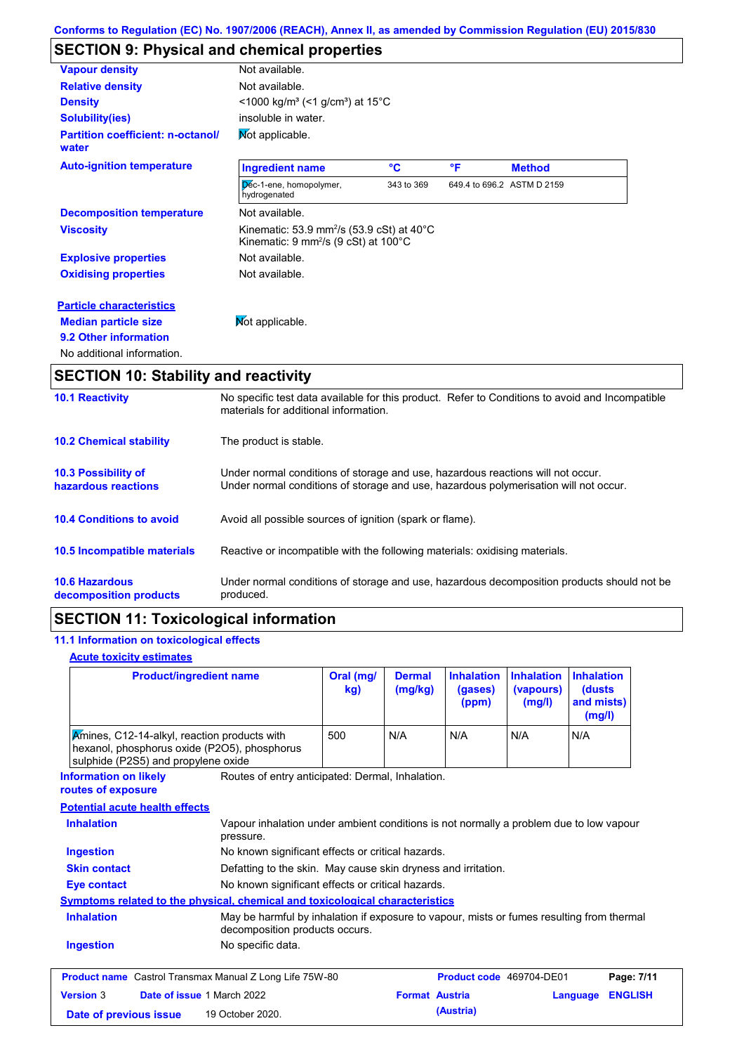# **SECTION 9: Physical and chemical properties**

| <b>Vapour density</b>                             | Not available.                                                                                                                       |                 |    |                            |  |  |
|---------------------------------------------------|--------------------------------------------------------------------------------------------------------------------------------------|-----------------|----|----------------------------|--|--|
| <b>Relative density</b>                           | Not available.                                                                                                                       |                 |    |                            |  |  |
| <b>Density</b>                                    | <1000 kg/m <sup>3</sup> (<1 g/cm <sup>3</sup> ) at 15°C                                                                              |                 |    |                            |  |  |
| <b>Solubility(ies)</b>                            | insoluble in water.                                                                                                                  |                 |    |                            |  |  |
| <b>Partition coefficient: n-octanol/</b><br>water | Mot applicable.                                                                                                                      |                 |    |                            |  |  |
| <b>Auto-ignition temperature</b>                  | <b>Ingredient name</b>                                                                                                               | $\rm ^{\circ}C$ | °F | <b>Method</b>              |  |  |
|                                                   | Dec-1-ene, homopolymer,<br>hydrogenated                                                                                              | 343 to 369      |    | 649.4 to 696.2 ASTM D 2159 |  |  |
| <b>Decomposition temperature</b>                  | Not available.                                                                                                                       |                 |    |                            |  |  |
| <b>Viscosity</b>                                  | Kinematic: 53.9 mm <sup>2</sup> /s (53.9 cSt) at 40 $^{\circ}$ C<br>Kinematic: $9 \text{ mm}^2\text{/s}$ (9 cSt) at 100 $^{\circ}$ C |                 |    |                            |  |  |
| <b>Explosive properties</b>                       | Not available.                                                                                                                       |                 |    |                            |  |  |
| <b>Oxidising properties</b>                       | Not available.                                                                                                                       |                 |    |                            |  |  |
| <b>Particle characteristics</b>                   |                                                                                                                                      |                 |    |                            |  |  |
| <b>Median particle size</b>                       | Not applicable.                                                                                                                      |                 |    |                            |  |  |
| 9.2 Other information                             |                                                                                                                                      |                 |    |                            |  |  |
| No additional information.                        |                                                                                                                                      |                 |    |                            |  |  |

# **SECTION 10: Stability and reactivity**

| <b>10.1 Reactivity</b>                            | No specific test data available for this product. Refer to Conditions to avoid and Incompatible<br>materials for additional information.                                |
|---------------------------------------------------|-------------------------------------------------------------------------------------------------------------------------------------------------------------------------|
| <b>10.2 Chemical stability</b>                    | The product is stable.                                                                                                                                                  |
| <b>10.3 Possibility of</b><br>hazardous reactions | Under normal conditions of storage and use, hazardous reactions will not occur.<br>Under normal conditions of storage and use, hazardous polymerisation will not occur. |
| <b>10.4 Conditions to avoid</b>                   | Avoid all possible sources of ignition (spark or flame).                                                                                                                |
| 10.5 Incompatible materials                       | Reactive or incompatible with the following materials: oxidising materials.                                                                                             |
| <b>10.6 Hazardous</b><br>decomposition products   | Under normal conditions of storage and use, hazardous decomposition products should not be<br>produced.                                                                 |

# **SECTION 11: Toxicological information**

## **11.1 Information on toxicological effects**

### **Acute toxicity estimates**

| <b>Product/ingredient name</b>                                                                                                      |                                                                                                                             | Oral (mg/<br>kg) | <b>Dermal</b><br>(mg/kg) | <b>Inhalation</b><br>(gases)<br>(ppm) | <b>Inhalation</b><br>(vapours)<br>(mg/l) | <b>Inhalation</b><br>(dusts)<br>and mists)<br>(mg/l) |                |
|-------------------------------------------------------------------------------------------------------------------------------------|-----------------------------------------------------------------------------------------------------------------------------|------------------|--------------------------|---------------------------------------|------------------------------------------|------------------------------------------------------|----------------|
| Kmines, C12-14-alkyl, reaction products with<br>hexanol, phosphorus oxide (P2O5), phosphorus<br>sulphide (P2S5) and propylene oxide |                                                                                                                             | 500              | N/A                      | N/A                                   | N/A                                      | N/A                                                  |                |
| <b>Information on likely</b><br>routes of exposure                                                                                  | Routes of entry anticipated: Dermal, Inhalation.                                                                            |                  |                          |                                       |                                          |                                                      |                |
| <b>Potential acute health effects</b>                                                                                               |                                                                                                                             |                  |                          |                                       |                                          |                                                      |                |
| <b>Inhalation</b>                                                                                                                   | Vapour inhalation under ambient conditions is not normally a problem due to low vapour<br>pressure.                         |                  |                          |                                       |                                          |                                                      |                |
| <b>Ingestion</b>                                                                                                                    | No known significant effects or critical hazards.                                                                           |                  |                          |                                       |                                          |                                                      |                |
| <b>Skin contact</b>                                                                                                                 | Defatting to the skin. May cause skin dryness and irritation.                                                               |                  |                          |                                       |                                          |                                                      |                |
| <b>Eye contact</b>                                                                                                                  | No known significant effects or critical hazards.                                                                           |                  |                          |                                       |                                          |                                                      |                |
| <b>Symptoms related to the physical, chemical and toxicological characteristics</b>                                                 |                                                                                                                             |                  |                          |                                       |                                          |                                                      |                |
| <b>Inhalation</b>                                                                                                                   | May be harmful by inhalation if exposure to vapour, mists or fumes resulting from thermal<br>decomposition products occurs. |                  |                          |                                       |                                          |                                                      |                |
| <b>Ingestion</b>                                                                                                                    | No specific data.                                                                                                           |                  |                          |                                       |                                          |                                                      |                |
| <b>Product name</b> Castrol Transmax Manual Z Long Life 75W-80                                                                      |                                                                                                                             |                  |                          | Product code 469704-DE01              |                                          |                                                      | Page: 7/11     |
| <b>Version 3</b><br>Date of issue 1 March 2022                                                                                      |                                                                                                                             |                  | <b>Format Austria</b>    |                                       |                                          | Language                                             | <b>ENGLISH</b> |
| Date of previous issue                                                                                                              | 19 October 2020.                                                                                                            |                  |                          | (Austria)                             |                                          |                                                      |                |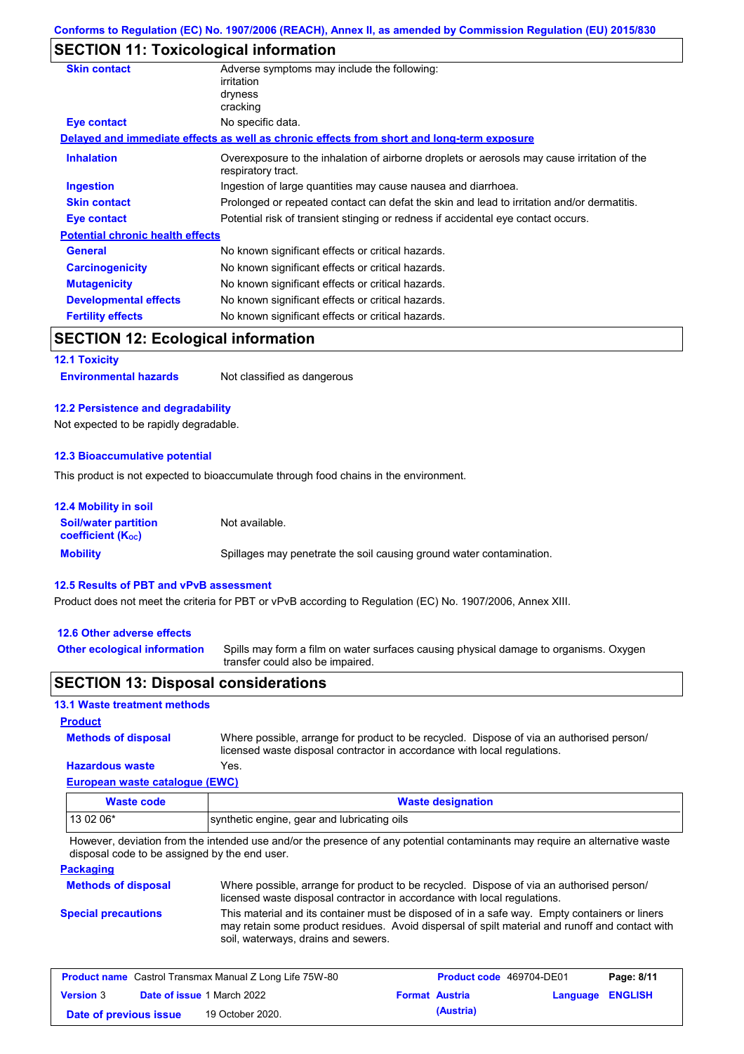## **SECTION 11: Toxicological information**

| <b>Skin contact</b>                     | Adverse symptoms may include the following:<br>irritation                                                         |
|-----------------------------------------|-------------------------------------------------------------------------------------------------------------------|
|                                         | dryness                                                                                                           |
|                                         | cracking                                                                                                          |
| Eye contact                             | No specific data.                                                                                                 |
|                                         | Delayed and immediate effects as well as chronic effects from short and long-term exposure                        |
| <b>Inhalation</b>                       | Overexposure to the inhalation of airborne droplets or aerosols may cause irritation of the<br>respiratory tract. |
| <b>Ingestion</b>                        | Ingestion of large quantities may cause nausea and diarrhoea.                                                     |
| <b>Skin contact</b>                     | Prolonged or repeated contact can defat the skin and lead to irritation and/or dermatitis.                        |
| Eye contact                             | Potential risk of transient stinging or redness if accidental eye contact occurs.                                 |
| <b>Potential chronic health effects</b> |                                                                                                                   |
| <b>General</b>                          | No known significant effects or critical hazards.                                                                 |
| <b>Carcinogenicity</b>                  | No known significant effects or critical hazards.                                                                 |
| <b>Mutagenicity</b>                     | No known significant effects or critical hazards.                                                                 |
| <b>Developmental effects</b>            | No known significant effects or critical hazards.                                                                 |
| <b>Fertility effects</b>                | No known significant effects or critical hazards.                                                                 |
| SECTION 12: Ecological information      |                                                                                                                   |

## **SECTION 12: Ecological information**

**12.1 Toxicity**

**Environmental hazards** Not classified as dangerous

#### **12.2 Persistence and degradability**

Not expected to be rapidly degradable.

#### **12.3 Bioaccumulative potential**

This product is not expected to bioaccumulate through food chains in the environment.

| <b>12.4 Mobility in soil</b>                                  |                                                                      |
|---------------------------------------------------------------|----------------------------------------------------------------------|
| <b>Soil/water partition</b><br>coefficient (K <sub>oc</sub> ) | Not available.                                                       |
| <b>Mobility</b>                                               | Spillages may penetrate the soil causing ground water contamination. |

#### **12.5 Results of PBT and vPvB assessment**

Product does not meet the criteria for PBT or vPvB according to Regulation (EC) No. 1907/2006, Annex XIII.

#### **12.6 Other adverse effects**

**Other ecological information**

Spills may form a film on water surfaces causing physical damage to organisms. Oxygen transfer could also be impaired.

### **SECTION 13: Disposal considerations**

#### **13.1 Waste treatment methods**

**Product**

Where possible, arrange for product to be recycled. Dispose of via an authorised person/ licensed waste disposal contractor in accordance with local regulations.

#### **Hazardous waste** Yes.

**Methods of disposal**

**European waste catalogue (EWC)**

| Waste code | <b>Waste designation</b>                    |
|------------|---------------------------------------------|
| $130206*$  | synthetic engine, gear and lubricating oils |

However, deviation from the intended use and/or the presence of any potential contaminants may require an alternative waste disposal code to be assigned by the end user.

### **Packaging**

| <b>Methods of disposal</b> | Where possible, arrange for product to be recycled. Dispose of via an authorised person/<br>licensed waste disposal contractor in accordance with local regulations.                                                                    |
|----------------------------|-----------------------------------------------------------------------------------------------------------------------------------------------------------------------------------------------------------------------------------------|
| <b>Special precautions</b> | This material and its container must be disposed of in a safe way. Empty containers or liners<br>may retain some product residues. Avoid dispersal of spilt material and runoff and contact with<br>soil, waterways, drains and sewers. |

| <b>Product name</b> Castrol Transmax Manual Z Long Life 75W-80 |  |                                   | <b>Product code</b> 469704-DE01 | Page: 8/11 |                         |  |
|----------------------------------------------------------------|--|-----------------------------------|---------------------------------|------------|-------------------------|--|
| <b>Version 3</b>                                               |  | <b>Date of issue 1 March 2022</b> | <b>Format Austria</b>           |            | <b>Language ENGLISH</b> |  |
| Date of previous issue                                         |  | 19 October 2020.                  |                                 | (Austria)  |                         |  |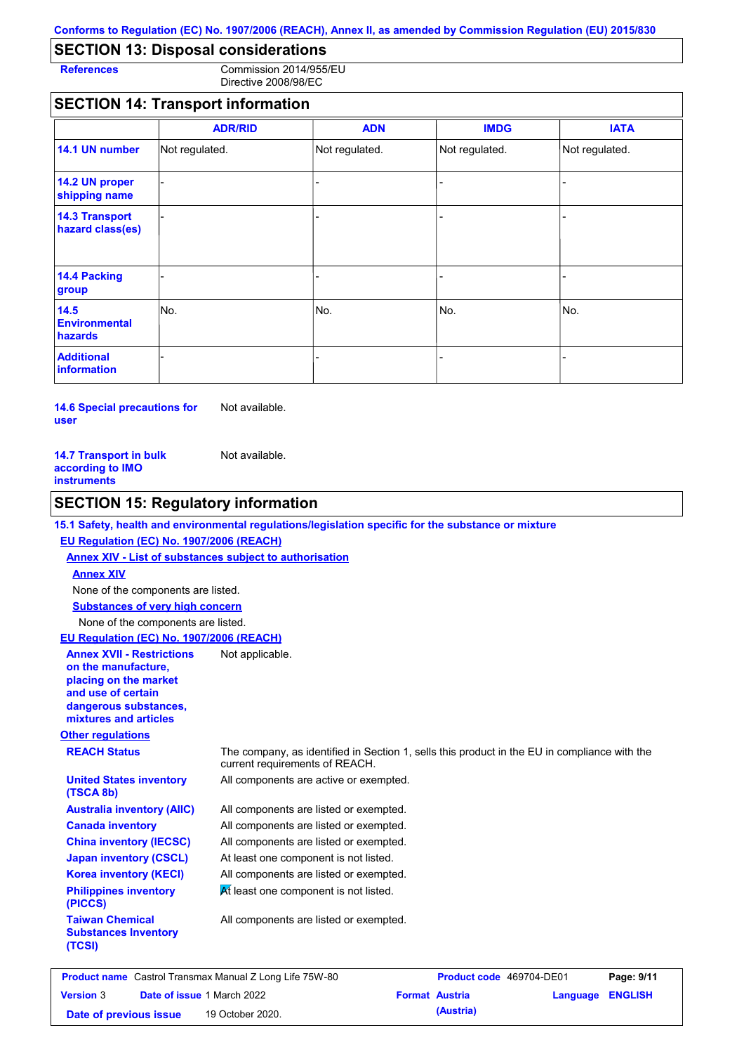## **SECTION 13: Disposal considerations**

**References** Commission 2014/955/EU Directive 2008/98/EC

## **SECTION 14: Transport information**

|                                           | <b>ADR/RID</b> | <b>ADN</b>     | <b>IMDG</b>    | <b>IATA</b>    |
|-------------------------------------------|----------------|----------------|----------------|----------------|
| 14.1 UN number                            | Not regulated. | Not regulated. | Not regulated. | Not regulated. |
| 14.2 UN proper<br>shipping name           |                |                |                |                |
| <b>14.3 Transport</b><br>hazard class(es) |                |                | ۰              |                |
| 14.4 Packing<br>group                     |                |                | $\blacksquare$ |                |
| 14.5<br><b>Environmental</b><br>hazards   | No.            | No.            | No.            | No.            |
| <b>Additional</b><br>information          |                |                |                |                |

**14.6 Special precautions for user** Not available.

| <b>14.7 Transport in bulk</b> | Not available. |
|-------------------------------|----------------|
| according to IMO              |                |
| instruments                   |                |

## **SECTION 15: Regulatory information**

### **15.1 Safety, health and environmental regulations/legislation specific for the substance or mixture**

### **EU Regulation (EC) No. 1907/2006 (REACH)**

**Annex XIV - List of substances subject to authorisation Substances of very high concern** None of the components are listed. None of the components are listed. **Annex XIV**

**EU Regulation (EC) No. 1907/2006 (REACH)**

**Annex XVII - Restrictions on the manufacture,** Not applicable.

**placing on the market and use of certain dangerous substances, mixtures and articles**

**United States inventory** 

**Australia inventory (AIIC) Canada inventory China inventory (IECSC) Japan inventory (CSCL) Korea inventory (KECI) Philippines inventory** 

#### **Other regulations**

**(TSCA 8b)**

**(PICCS)**

**(TCSI)**

**Taiwan Chemical Substances Inventory** 

**REACH Status** The company, as identified in Section 1, sells this product in the EU in compliance with the current requirements of REACH.

All components are active or exempted.

All components are listed or exempted. All components are listed or exempted. All components are listed or exempted. At least one component is not listed. All components are listed or exempted.

 $\overline{M}$  least one component is not listed.

All components are listed or exempted.

| <b>Product name</b> Castrol Transmax Manual Z Long Life 75W-80 |  |                                   | <b>Product code</b> 469704-DE01 |           | Page: 9/11              |  |
|----------------------------------------------------------------|--|-----------------------------------|---------------------------------|-----------|-------------------------|--|
| <b>Version 3</b>                                               |  | <b>Date of issue 1 March 2022</b> | <b>Format Austria</b>           |           | <b>Language ENGLISH</b> |  |
| Date of previous issue                                         |  | 19 October 2020.                  |                                 | (Austria) |                         |  |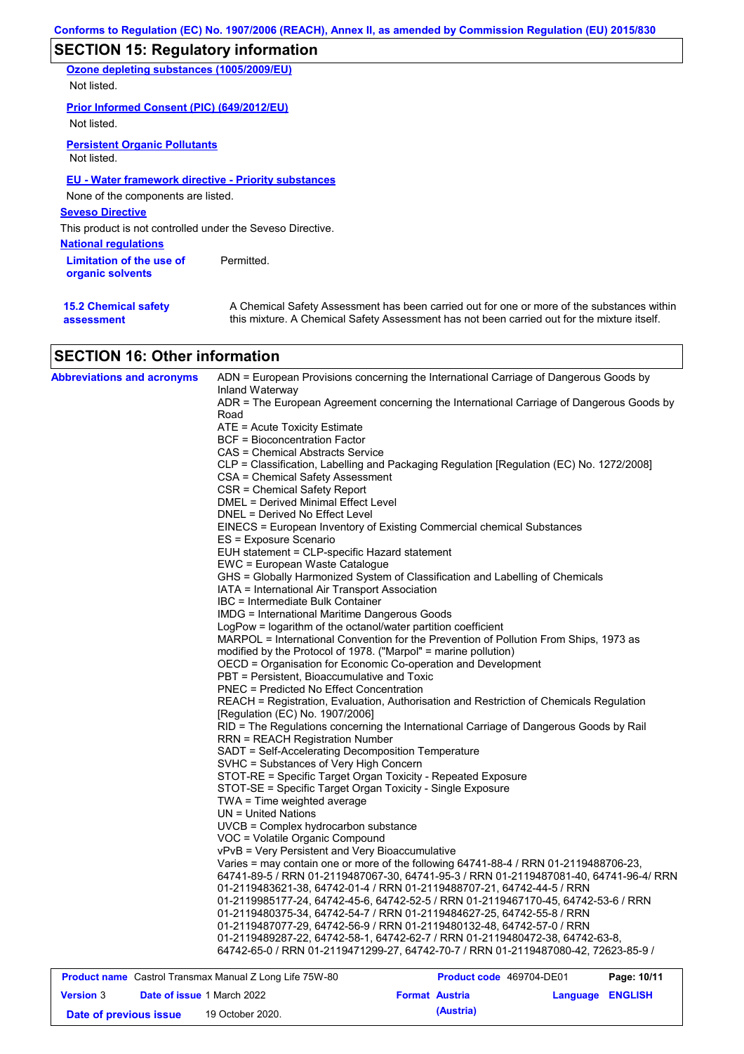# **SECTION 15: Regulatory information**

**Ozone depleting substances (1005/2009/EU)** Not listed.

**Prior Informed Consent (PIC) (649/2012/EU)**

Not listed.

**Persistent Organic Pollutants** Not listed.

### **EU - Water framework directive - Priority substances**

None of the components are listed.

**Seveso Directive**

This product is not controlled under the Seveso Directive.

**National regulations**

**Limitation of the use of Fermitted. organic solvents**

**15.2 Chemical safety assessment**

A Chemical Safety Assessment has been carried out for one or more of the substances within this mixture. A Chemical Safety Assessment has not been carried out for the mixture itself.

## **SECTION 16: Other information**

| <b>Abbreviations and acronyms</b> | ADN = European Provisions concerning the International Carriage of Dangerous Goods by                                           |
|-----------------------------------|---------------------------------------------------------------------------------------------------------------------------------|
|                                   | Inland Waterway<br>ADR = The European Agreement concerning the International Carriage of Dangerous Goods by                     |
|                                   | Road                                                                                                                            |
|                                   | ATE = Acute Toxicity Estimate                                                                                                   |
|                                   | <b>BCF</b> = Bioconcentration Factor                                                                                            |
|                                   | CAS = Chemical Abstracts Service                                                                                                |
|                                   | CLP = Classification, Labelling and Packaging Regulation [Regulation (EC) No. 1272/2008]                                        |
|                                   | CSA = Chemical Safety Assessment                                                                                                |
|                                   | CSR = Chemical Safety Report                                                                                                    |
|                                   | DMEL = Derived Minimal Effect Level                                                                                             |
|                                   | DNEL = Derived No Effect Level                                                                                                  |
|                                   | EINECS = European Inventory of Existing Commercial chemical Substances                                                          |
|                                   | ES = Exposure Scenario                                                                                                          |
|                                   | EUH statement = CLP-specific Hazard statement                                                                                   |
|                                   | EWC = European Waste Catalogue                                                                                                  |
|                                   | GHS = Globally Harmonized System of Classification and Labelling of Chemicals<br>IATA = International Air Transport Association |
|                                   | IBC = Intermediate Bulk Container                                                                                               |
|                                   | <b>IMDG</b> = International Maritime Dangerous Goods                                                                            |
|                                   | LogPow = logarithm of the octanol/water partition coefficient                                                                   |
|                                   | MARPOL = International Convention for the Prevention of Pollution From Ships, 1973 as                                           |
|                                   | modified by the Protocol of 1978. ("Marpol" = marine pollution)                                                                 |
|                                   | OECD = Organisation for Economic Co-operation and Development                                                                   |
|                                   | PBT = Persistent, Bioaccumulative and Toxic                                                                                     |
|                                   | PNEC = Predicted No Effect Concentration                                                                                        |
|                                   | REACH = Registration, Evaluation, Authorisation and Restriction of Chemicals Regulation                                         |
|                                   | [Regulation (EC) No. 1907/2006]                                                                                                 |
|                                   | RID = The Regulations concerning the International Carriage of Dangerous Goods by Rail                                          |
|                                   | RRN = REACH Registration Number                                                                                                 |
|                                   | SADT = Self-Accelerating Decomposition Temperature                                                                              |
|                                   | SVHC = Substances of Very High Concern                                                                                          |
|                                   | STOT-RE = Specific Target Organ Toxicity - Repeated Exposure                                                                    |
|                                   | STOT-SE = Specific Target Organ Toxicity - Single Exposure                                                                      |
|                                   | TWA = Time weighted average<br>$UN = United Nations$                                                                            |
|                                   | UVCB = Complex hydrocarbon substance                                                                                            |
|                                   | VOC = Volatile Organic Compound                                                                                                 |
|                                   | vPvB = Very Persistent and Very Bioaccumulative                                                                                 |
|                                   | Varies = may contain one or more of the following 64741-88-4 / RRN 01-2119488706-23,                                            |
|                                   | 64741-89-5 / RRN 01-2119487067-30, 64741-95-3 / RRN 01-2119487081-40, 64741-96-4/ RRN                                           |
|                                   | 01-2119483621-38, 64742-01-4 / RRN 01-2119488707-21, 64742-44-5 / RRN                                                           |
|                                   | 01-2119985177-24, 64742-45-6, 64742-52-5 / RRN 01-2119467170-45, 64742-53-6 / RRN                                               |
|                                   | 01-2119480375-34, 64742-54-7 / RRN 01-2119484627-25, 64742-55-8 / RRN                                                           |
|                                   | 01-2119487077-29, 64742-56-9 / RRN 01-2119480132-48, 64742-57-0 / RRN                                                           |
|                                   | 01-2119489287-22, 64742-58-1, 64742-62-7 / RRN 01-2119480472-38, 64742-63-8,                                                    |
|                                   | 64742-65-0 / RRN 01-2119471299-27, 64742-70-7 / RRN 01-2119487080-42, 72623-85-9 /                                              |
|                                   |                                                                                                                                 |

| <b>Product name</b> Castrol Transmax Manual Z Long Life 75W-80 |  |                                   | <b>Product code</b> 469704-DE01 |                       | Page: 10/11      |  |
|----------------------------------------------------------------|--|-----------------------------------|---------------------------------|-----------------------|------------------|--|
| <b>Version 3</b>                                               |  | <b>Date of issue 1 March 2022</b> |                                 | <b>Format Austria</b> | Language ENGLISH |  |
| Date of previous issue                                         |  | 19 October 2020.                  |                                 | (Austria)             |                  |  |